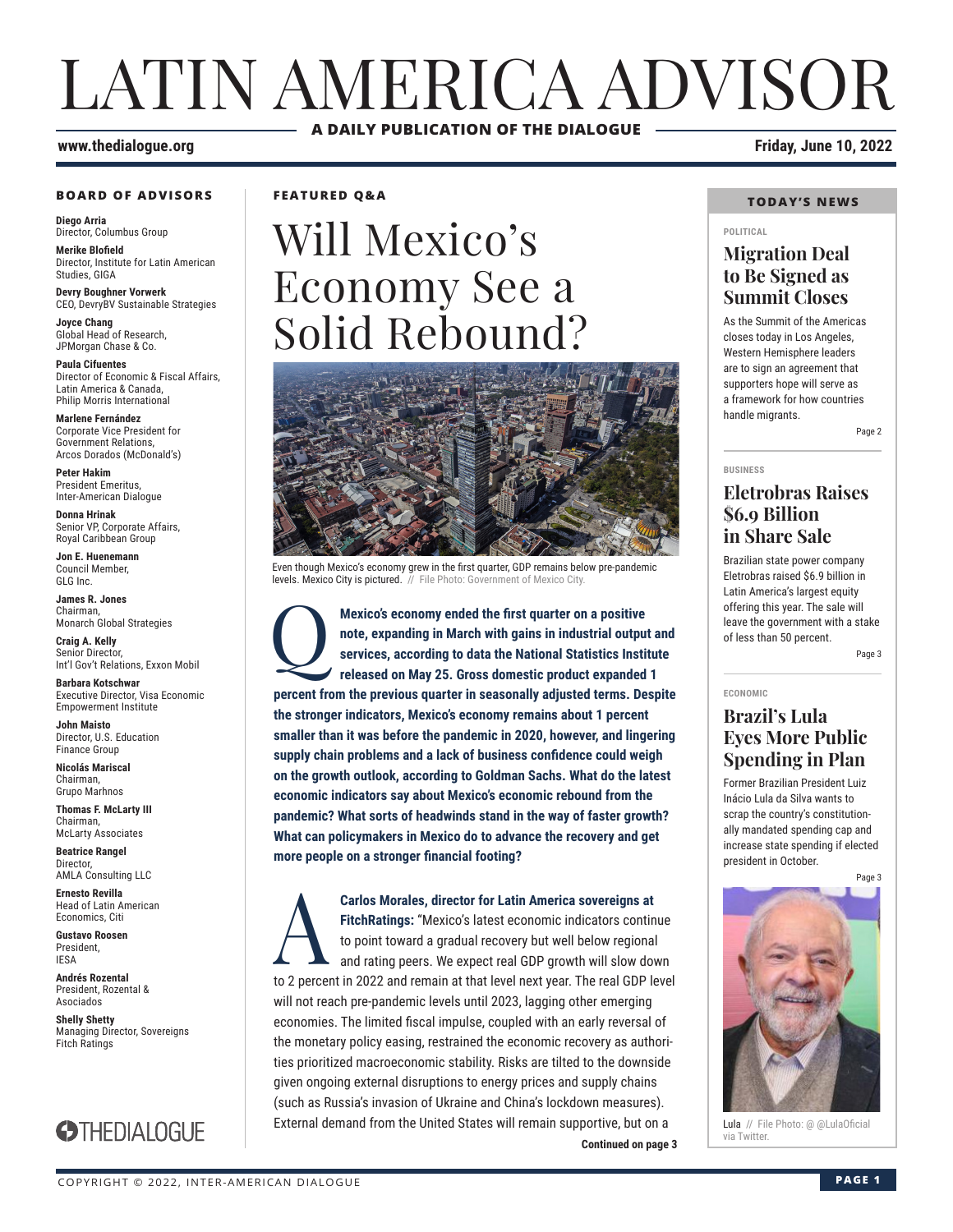## LATIN AMERICA ADVISOR **A DAILY PUBLICATION OF THE DIALOGUE**

#### **www.thedialogue.org Friday, June 10, 2022**

#### **BOARD OF ADVISORS**

**Diego Arria** Director, Columbus Group

**Merike Blofield** Director, Institute for Latin American Studies, GIGA

**Devry Boughner Vorwerk** CEO, DevryBV Sustainable Strategies

**Joyce Chang** Global Head of Research, JPMorgan Chase & Co.

**Paula Cifuentes** Director of Economic & Fiscal Affairs, Latin America & Canada, Philip Morris International

**Marlene Fernández** Corporate Vice President for Government Relations, Arcos Dorados (McDonald's)

**Peter Hakim** President Emeritus, Inter-American Dialogue

**Donna Hrinak** Senior VP, Corporate Affairs, Royal Caribbean Group

**Jon E. Huenemann** Council Member, GLG Inc.

**James R. Jones** Chairman, Monarch Global Strategies

**Craig A. Kelly** Senior Director, Int'l Gov't Relations, Exxon Mobil

**Barbara Kotschwar** Executive Director, Visa Economic Empowerment Institute

**John Maisto** Director, U.S. Education Finance Group

**Nicolás Mariscal** Chairman, Grupo Marhnos

**Thomas F. McLarty III** Chairman, McLarty Associates

**Beatrice Rangel**  Director, AMLA Consulting LLC

**Ernesto Revilla**  Head of Latin American

Economics, Citi **Gustavo Roosen** President, IESA

**Andrés Rozental**  President, Rozental & Asociados

**Shelly Shetty** Managing Director, Sovereigns Fitch Ratings



**FEATURED Q&A**

# Will Mexico's Economy See a Solid Rebound?



Even though Mexico's economy grew in the first quarter, GDP remains below pre-pandemic levels. Mexico City is pictured. // File Photo: Government of Mexico City

Mexico's economy ended the first quarter on a positive<br>note, expanding in March with gains in industrial output<br>services, according to data the National Statistics Instit<br>released on May 25. Gross domestic product expanded **note, expanding in March with gains in industrial output and services, according to data the National Statistics Institute released on May 25. Gross domestic product expanded 1 percent from the previous quarter in seasonally adjusted terms. Despite the stronger indicators, Mexico's economy remains about 1 percent smaller than it was before the pandemic in 2020, however, and lingering supply chain problems and a lack of business confidence could weigh on the growth outlook, according to Goldman Sachs. What do the latest economic indicators say about Mexico's economic rebound from the pandemic? What sorts of headwinds stand in the way of faster growth? What can policymakers in Mexico do to advance the recovery and get more people on a stronger financial footing?**

**Continued on page 3 Carlos Morales, director for Latin America sovereigns at**<br>FitchRatings: "Mexico's latest economic indicators contin<br>to point toward a gradual recovery but well below regional<br>and rating peers. We expect real GDP growth wi **FitchRatings:** "Mexico's latest economic indicators continue to point toward a gradual recovery but well below regional and rating peers. We expect real GDP growth will slow down to 2 percent in 2022 and remain at that level next year. The real GDP level will not reach pre-pandemic levels until 2023, lagging other emerging economies. The limited fiscal impulse, coupled with an early reversal of the monetary policy easing, restrained the economic recovery as authorities prioritized macroeconomic stability. Risks are tilted to the downside given ongoing external disruptions to energy prices and supply chains (such as Russia's invasion of Ukraine and China's lockdown measures). External demand from the United States will remain supportive, but on a

#### **TODAY'S NEWS**

#### **POLITICAL**

## **Migration Deal to Be Signed as Summit Closes**

As the Summit of the Americas closes today in Los Angeles, Western Hemisphere leaders are to sign an agreement that supporters hope will serve as a framework for how countries handle migrants.

Page 2

#### **BUSINESS**

**ECONOMIC**

## **Eletrobras Raises \$6.9 Billion in Share Sale**

Brazilian state power company Eletrobras raised \$6.9 billion in Latin America's largest equity offering this year. The sale will leave the government with a stake of less than 50 percent.

Page 3

## **Brazil's Lula Eyes More Public Spending in Plan**

Former Brazilian President Luiz Inácio Lula da Silva wants to scrap the country's constitutionally mandated spending cap and increase state spending if elected president in October.

Page 3



Lula // File Photo: @ @LulaOficial<br>via Twitter.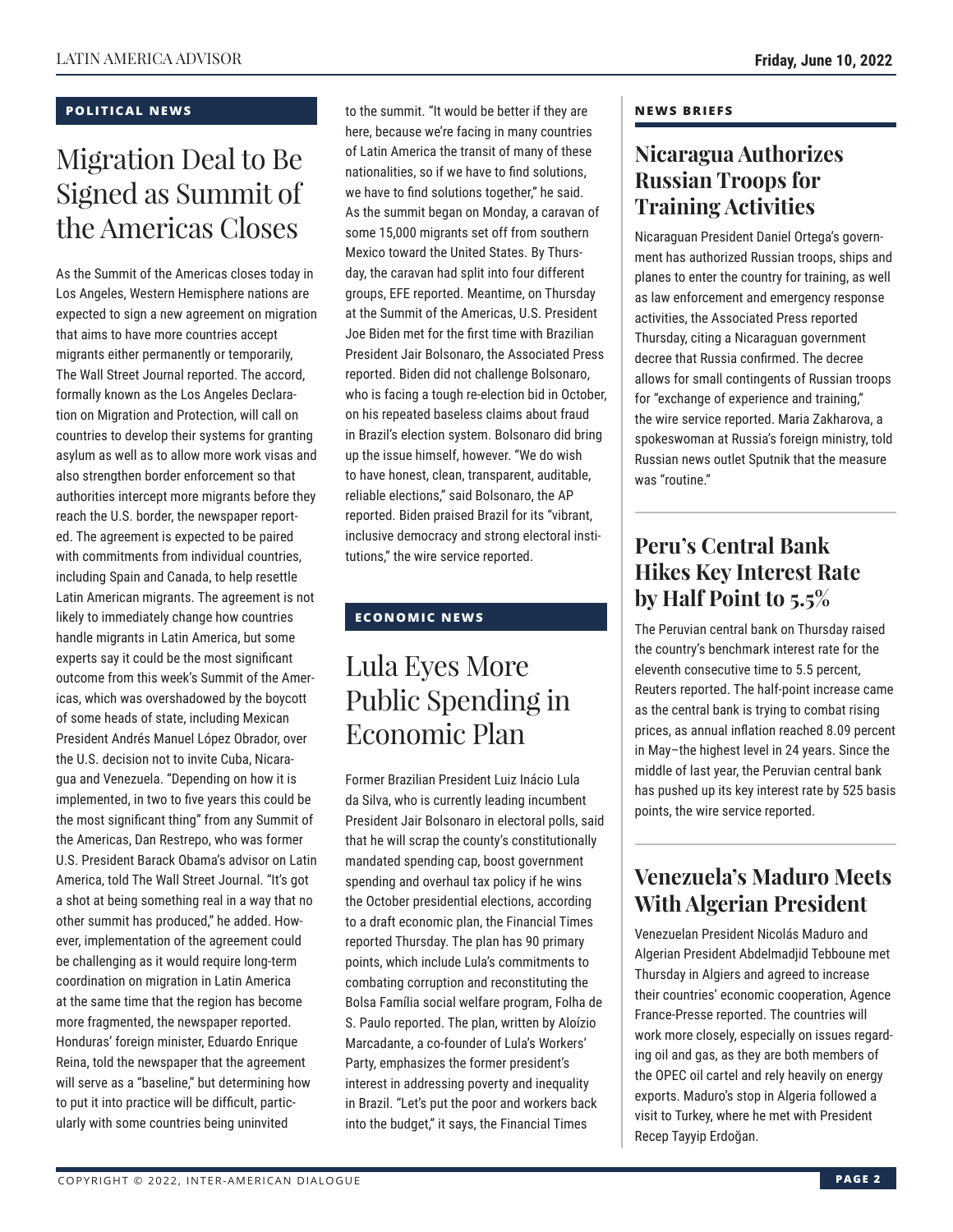## **POLITICAL NEWS**

## Migration Deal to Be Signed as Summit of the Americas Closes

As the Summit of the Americas closes today in Los Angeles, Western Hemisphere nations are expected to sign a new agreement on migration that aims to have more countries accept migrants either permanently or temporarily, The Wall Street Journal reported. The accord, formally known as the Los Angeles Declaration on Migration and Protection, will call on countries to develop their systems for granting asylum as well as to allow more work visas and also strengthen border enforcement so that authorities intercept more migrants before they reach the U.S. border, the newspaper reported. The agreement is expected to be paired with commitments from individual countries, including Spain and Canada, to help resettle Latin American migrants. The agreement is not likely to immediately change how countries handle migrants in Latin America, but some experts say it could be the most significant outcome from this week's Summit of the Americas, which was overshadowed by the boycott of some heads of state, including Mexican President Andrés Manuel López Obrador, over the U.S. decision not to invite Cuba, Nicaragua and Venezuela. "Depending on how it is implemented, in two to five years this could be the most significant thing" from any Summit of the Americas, Dan Restrepo, who was former U.S. President Barack Obama's advisor on Latin America, told The Wall Street Journal. "It's got a shot at being something real in a way that no other summit has produced," he added. However, implementation of the agreement could be challenging as it would require long-term coordination on migration in Latin America at the same time that the region has become more fragmented, the newspaper reported. Honduras' foreign minister, Eduardo Enrique Reina, told the newspaper that the agreement will serve as a "baseline," but determining how to put it into practice will be difficult, particularly with some countries being uninvited

to the summit. "It would be better if they are here, because we're facing in many countries of Latin America the transit of many of these nationalities, so if we have to find solutions, we have to find solutions together," he said. As the summit began on Monday, a caravan of some 15,000 migrants set off from southern Mexico toward the United States. By Thursday, the caravan had split into four different groups, EFE reported. Meantime, on Thursday at the Summit of the Americas, U.S. President Joe Biden met for the first time with Brazilian President Jair Bolsonaro, the Associated Press reported. Biden did not challenge Bolsonaro, who is facing a tough re-election bid in October, on his repeated baseless claims about fraud in Brazil's election system. Bolsonaro did bring up the issue himself, however. "We do wish to have honest, clean, transparent, auditable, reliable elections," said Bolsonaro, the AP reported. Biden praised Brazil for its "vibrant, inclusive democracy and strong electoral institutions," the wire service reported.

## **ECONOMIC NEWS**

## Lula Eyes More Public Spending in Economic Plan

Former Brazilian President Luiz Inácio Lula da Silva, who is currently leading incumbent President Jair Bolsonaro in electoral polls, said that he will scrap the county's constitutionally mandated spending cap, boost government spending and overhaul tax policy if he wins the October presidential elections, according to a draft economic plan, the Financial Times reported Thursday. The plan has 90 primary points, which include Lula's commitments to combating corruption and reconstituting the Bolsa Família social welfare program, Folha de S. Paulo reported. The plan, written by Aloízio Marcadante, a co-founder of Lula's Workers' Party, emphasizes the former president's interest in addressing poverty and inequality in Brazil. "Let's put the poor and workers back into the budget," it says, the Financial Times

## **NEWS BRIEFS**

## **Nicaragua Authorizes Russian Troops for Training Activities**

Nicaraguan President Daniel Ortega's government has authorized Russian troops, ships and planes to enter the country for training, as well as law enforcement and emergency response activities, the Associated Press reported Thursday, citing a Nicaraguan government decree that Russia confirmed. The decree allows for small contingents of Russian troops for "exchange of experience and training," the wire service reported. Maria Zakharova, a spokeswoman at Russia's foreign ministry, told Russian news outlet Sputnik that the measure was "routine."

## **Peru's Central Bank Hikes Key Interest Rate by Half Point to 5.5%**

The Peruvian central bank on Thursday raised the country's benchmark interest rate for the eleventh consecutive time to 5.5 percent, Reuters reported. The half-point increase came as the central bank is trying to combat rising prices, as annual inflation reached 8.09 percent in May–the highest level in 24 years. Since the middle of last year, the Peruvian central bank has pushed up its key interest rate by 525 basis points, the wire service reported.

## **Venezuela's Maduro Meets With Algerian President**

Venezuelan President Nicolás Maduro and Algerian President Abdelmadjid Tebboune met Thursday in Algiers and agreed to increase their countries' economic cooperation, Agence France-Presse reported. The countries will work more closely, especially on issues regarding oil and gas, as they are both members of the OPEC oil cartel and rely heavily on energy exports. Maduro's stop in Algeria followed a visit to Turkey, where he met with President Recep Tayyip Erdoğan.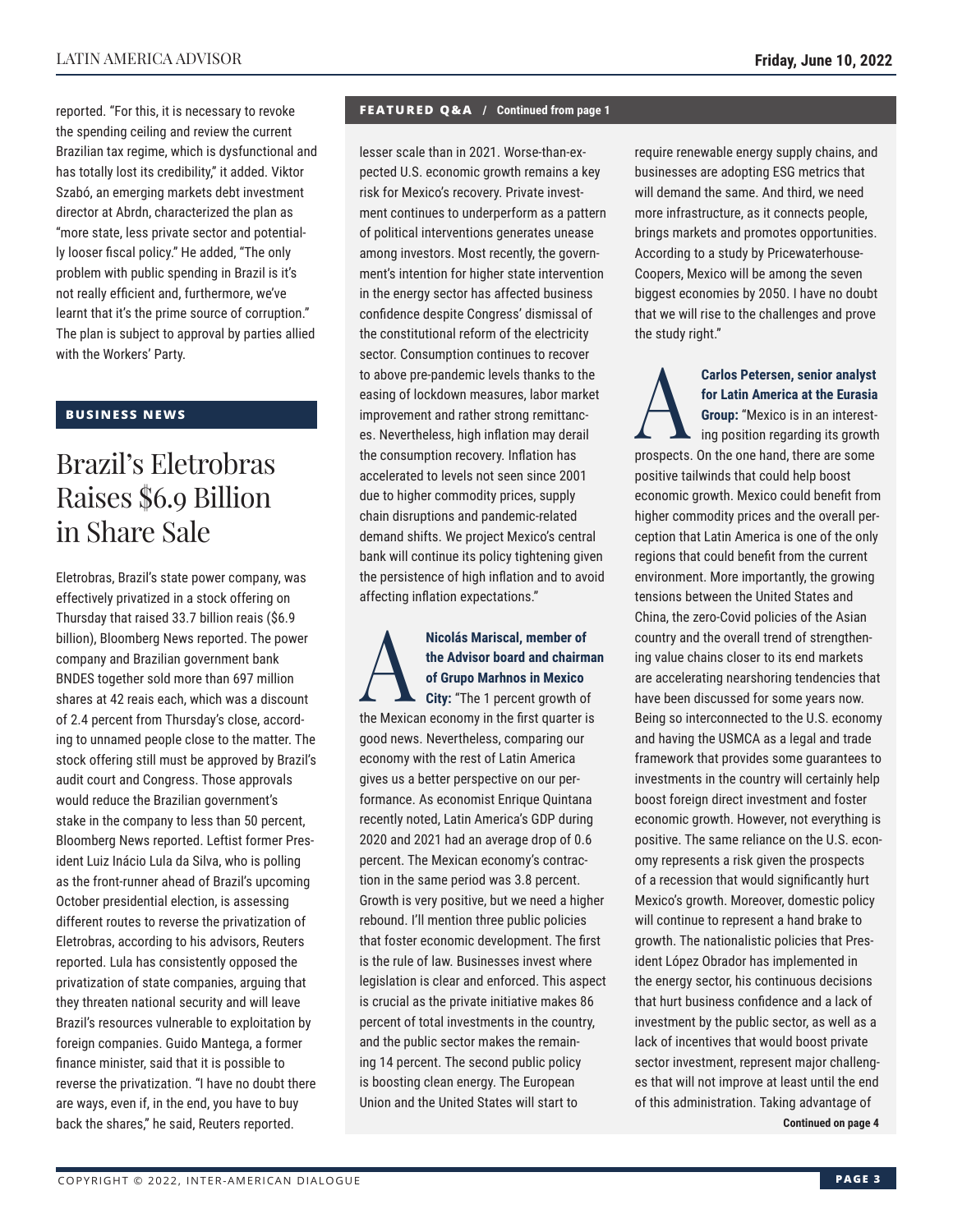reported. "For this, it is necessary to revoke the spending ceiling and review the current Brazilian tax regime, which is dysfunctional and has totally lost its credibility," it added. Viktor Szabó, an emerging markets debt investment director at Abrdn, characterized the plan as "more state, less private sector and potentially looser fiscal policy." He added, "The only problem with public spending in Brazil is it's not really efficient and, furthermore, we've learnt that it's the prime source of corruption." The plan is subject to approval by parties allied with the Workers' Party.

## **BUSINESS NEWS**

## Brazil's Eletrobras Raises \$6.9 Billion in Share Sale

Eletrobras, Brazil's state power company, was effectively privatized in a stock offering on Thursday that raised 33.7 billion reais (\$6.9 billion), Bloomberg News reported. The power company and Brazilian government bank BNDES together sold more than 697 million shares at 42 reais each, which was a discount of 2.4 percent from Thursday's close, according to unnamed people close to the matter. The stock offering still must be approved by Brazil's audit court and Congress. Those approvals would reduce the Brazilian government's stake in the company to less than 50 percent, Bloomberg News reported. Leftist former President Luiz Inácio Lula da Silva, who is polling as the front-runner ahead of Brazil's upcoming October presidential election, is assessing different routes to reverse the privatization of Eletrobras, according to his advisors, Reuters reported. Lula has consistently opposed the privatization of state companies, arguing that they threaten national security and will leave Brazil's resources vulnerable to exploitation by foreign companies. Guido Mantega, a former finance minister, said that it is possible to reverse the privatization. "I have no doubt there are ways, even if, in the end, you have to buy back the shares," he said, Reuters reported.

## **FEATURED Q&A / Continued from page 1**

lesser scale than in 2021. Worse-than-expected U.S. economic growth remains a key risk for Mexico's recovery. Private investment continues to underperform as a pattern of political interventions generates unease among investors. Most recently, the government's intention for higher state intervention in the energy sector has affected business confidence despite Congress' dismissal of the constitutional reform of the electricity sector. Consumption continues to recover to above pre-pandemic levels thanks to the easing of lockdown measures, labor market improvement and rather strong remittances. Nevertheless, high inflation may derail the consumption recovery. Inflation has accelerated to levels not seen since 2001 due to higher commodity prices, supply chain disruptions and pandemic-related demand shifts. We project Mexico's central bank will continue its policy tightening given the persistence of high inflation and to avoid affecting inflation expectations."

## Nicolás Mariscal, member of<br>the Advisor board and chairm<br>of Grupo Marhnos in Mexico<br>City: "The 1 percent growth of **the Advisor board and chairman of Grupo Marhnos in Mexico**

**City:** "The 1 percent growth of the Mexican economy in the first quarter is good news. Nevertheless, comparing our economy with the rest of Latin America gives us a better perspective on our performance. As economist Enrique Quintana recently noted, Latin America's GDP during 2020 and 2021 had an average drop of 0.6 percent. The Mexican economy's contraction in the same period was 3.8 percent. Growth is very positive, but we need a higher rebound. I'll mention three public policies that foster economic development. The first is the rule of law. Businesses invest where legislation is clear and enforced. This aspect is crucial as the private initiative makes 86 percent of total investments in the country, and the public sector makes the remaining 14 percent. The second public policy is boosting clean energy. The European Union and the United States will start to

require renewable energy supply chains, and businesses are adopting ESG metrics that will demand the same. And third, we need more infrastructure, as it connects people, brings markets and promotes opportunities. According to a study by Pricewaterhouse-Coopers, Mexico will be among the seven biggest economies by 2050. I have no doubt that we will rise to the challenges and prove the study right."

**Carlos Petersen, senior analyst<br>for Latin America at the Eurasia<br>Group: "Mexico is in an interest-<br>ing position regarding its growth<br>processes. On the one hand, there are some for Latin America at the Eurasia Group:** "Mexico is in an interesting position regarding its growth prospects. On the one hand, there are some positive tailwinds that could help boost economic growth. Mexico could benefit from higher commodity prices and the overall perception that Latin America is one of the only regions that could benefit from the current environment. More importantly, the growing tensions between the United States and China, the zero-Covid policies of the Asian country and the overall trend of strengthening value chains closer to its end markets are accelerating nearshoring tendencies that have been discussed for some years now. Being so interconnected to the U.S. economy and having the USMCA as a legal and trade framework that provides some guarantees to investments in the country will certainly help boost foreign direct investment and foster economic growth. However, not everything is positive. The same reliance on the U.S. economy represents a risk given the prospects of a recession that would significantly hurt Mexico's growth. Moreover, domestic policy will continue to represent a hand brake to growth. The nationalistic policies that President López Obrador has implemented in the energy sector, his continuous decisions that hurt business confidence and a lack of investment by the public sector, as well as a lack of incentives that would boost private sector investment, represent major challenges that will not improve at least until the end of this administration. Taking advantage of